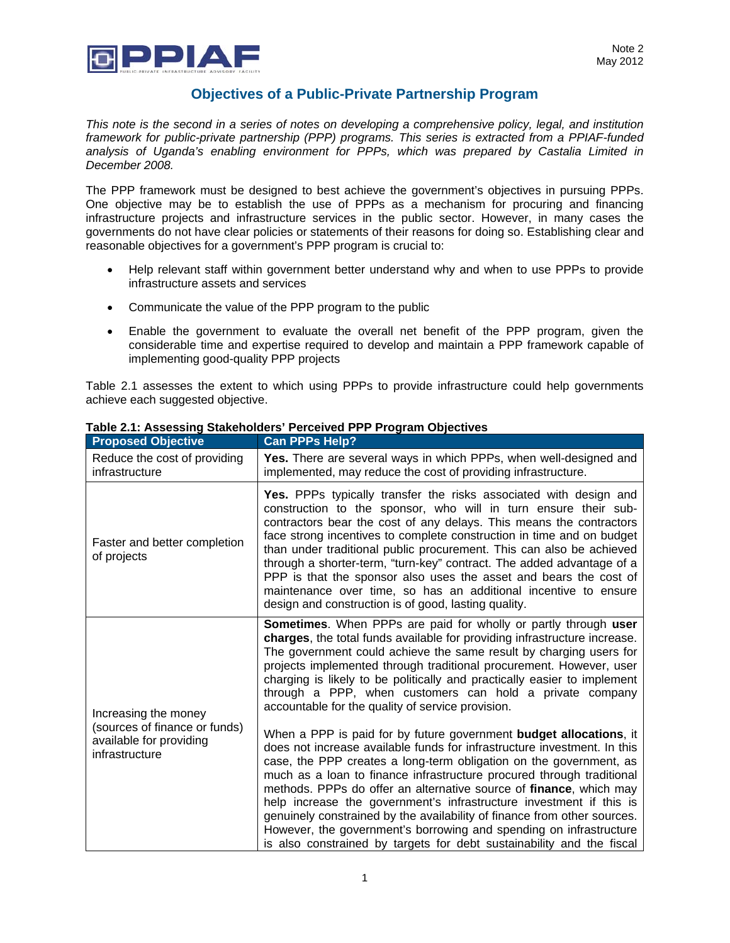

## **Objectives of a Public-Private Partnership Program**

*This note is the second in a series of notes on developing a comprehensive policy, legal, and institution framework for public-private partnership (PPP) programs. This series is extracted from a PPIAF-funded analysis of Uganda's enabling environment for PPPs, which was prepared by Castalia Limited in December 2008.* 

The PPP framework must be designed to best achieve the government's objectives in pursuing PPPs. One objective may be to establish the use of PPPs as a mechanism for procuring and financing infrastructure projects and infrastructure services in the public sector. However, in many cases the governments do not have clear policies or statements of their reasons for doing so. Establishing clear and reasonable objectives for a government's PPP program is crucial to:

- Help relevant staff within government better understand why and when to use PPPs to provide infrastructure assets and services
- Communicate the value of the PPP program to the public
- Enable the government to evaluate the overall net benefit of the PPP program, given the considerable time and expertise required to develop and maintain a PPP framework capable of implementing good-quality PPP projects

Table 2.1 assesses the extent to which using PPPs to provide infrastructure could help governments achieve each suggested objective.

| <b>Proposed Objective</b>                                                                          | <b>Can PPPs Help?</b>                                                                                                                                                                                                                                                                                                                                                                                                                                                                                                                                                                                                                                                 |
|----------------------------------------------------------------------------------------------------|-----------------------------------------------------------------------------------------------------------------------------------------------------------------------------------------------------------------------------------------------------------------------------------------------------------------------------------------------------------------------------------------------------------------------------------------------------------------------------------------------------------------------------------------------------------------------------------------------------------------------------------------------------------------------|
| Reduce the cost of providing<br>infrastructure                                                     | Yes. There are several ways in which PPPs, when well-designed and<br>implemented, may reduce the cost of providing infrastructure.                                                                                                                                                                                                                                                                                                                                                                                                                                                                                                                                    |
| Faster and better completion<br>of projects                                                        | Yes. PPPs typically transfer the risks associated with design and<br>construction to the sponsor, who will in turn ensure their sub-<br>contractors bear the cost of any delays. This means the contractors<br>face strong incentives to complete construction in time and on budget<br>than under traditional public procurement. This can also be achieved<br>through a shorter-term, "turn-key" contract. The added advantage of a<br>PPP is that the sponsor also uses the asset and bears the cost of<br>maintenance over time, so has an additional incentive to ensure<br>design and construction is of good, lasting quality.                                 |
| Increasing the money<br>(sources of finance or funds)<br>available for providing<br>infrastructure | <b>Sometimes.</b> When PPPs are paid for wholly or partly through user<br>charges, the total funds available for providing infrastructure increase.<br>The government could achieve the same result by charging users for<br>projects implemented through traditional procurement. However, user<br>charging is likely to be politically and practically easier to implement<br>through a PPP, when customers can hold a private company<br>accountable for the quality of service provision.                                                                                                                                                                         |
|                                                                                                    | When a PPP is paid for by future government budget allocations, it<br>does not increase available funds for infrastructure investment. In this<br>case, the PPP creates a long-term obligation on the government, as<br>much as a loan to finance infrastructure procured through traditional<br>methods. PPPs do offer an alternative source of finance, which may<br>help increase the government's infrastructure investment if this is<br>genuinely constrained by the availability of finance from other sources.<br>However, the government's borrowing and spending on infrastructure<br>is also constrained by targets for debt sustainability and the fiscal |

## **Table 2.1: Assessing Stakeholders' Perceived PPP Program Objectives**